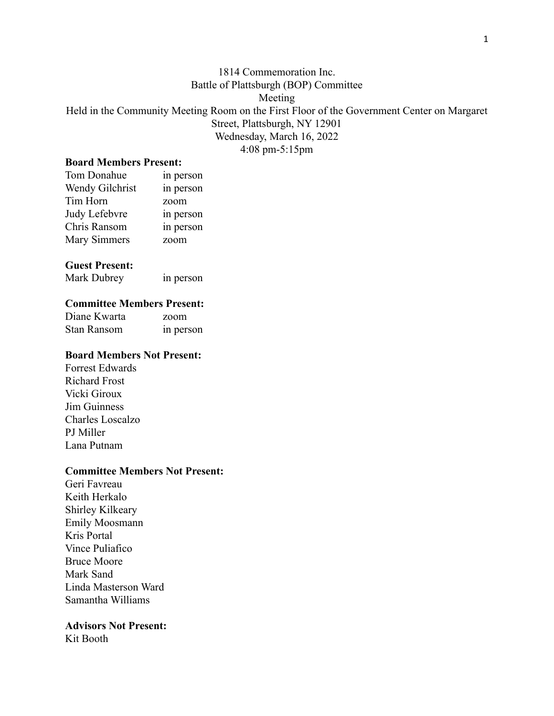# 1814 Commemoration Inc. Battle of Plattsburgh (BOP) Committee Meeting Held in the Community Meeting Room on the First Floor of the Government Center on Margaret Street, Plattsburgh, NY 12901 Wednesday, March 16, 2022 4:08 pm-5:15pm

#### **Board Members Present:**

| Tom Donahue         | in person |
|---------------------|-----------|
| Wendy Gilchrist     | in person |
| Tim Horn            | zoom      |
| Judy Lefebvre       | in person |
| Chris Ransom        | in person |
| <b>Mary Simmers</b> | zoom      |

#### **Guest Present:**

| Mark Dubrey | in person |
|-------------|-----------|
|             |           |

#### **Committee Members Present:**

Diane Kwarta zoom Stan Ransom in person

# **Board Members Not Present:**

Forrest Edwards Richard Frost Vicki Giroux Jim Guinness Charles Loscalzo PJ Miller Lana Putnam

#### **Committee Members Not Present:**

Geri Favreau Keith Herkalo Shirley Kilkeary Emily Moosmann Kris Portal Vince Puliafico Bruce Moore Mark Sand Linda Masterson Ward Samantha Williams

## **Advisors Not Present:**

Kit Booth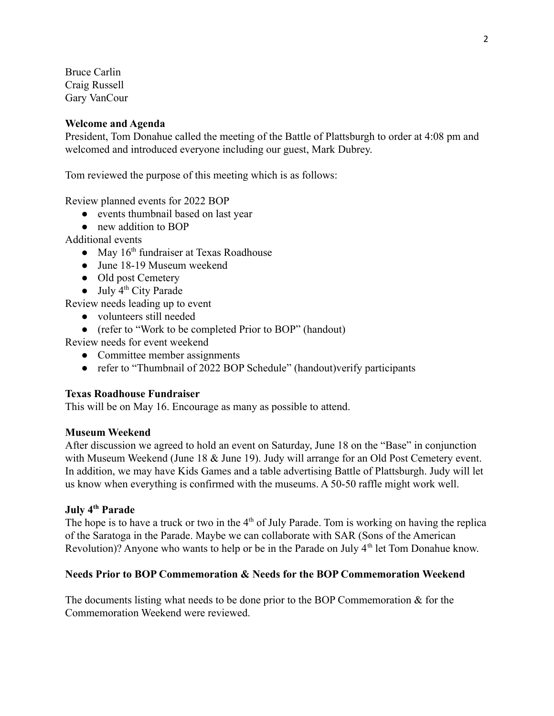Bruce Carlin Craig Russell Gary VanCour

#### **Welcome and Agenda**

President, Tom Donahue called the meeting of the Battle of Plattsburgh to order at 4:08 pm and welcomed and introduced everyone including our guest, Mark Dubrey.

Tom reviewed the purpose of this meeting which is as follows:

Review planned events for 2022 BOP

- events thumbnail based on last year
- new addition to BOP

Additional events

- May 16<sup>th</sup> fundraiser at Texas Roadhouse
- June 18-19 Museum weekend
- Old post Cemetery
- $\bullet$  July  $4^{th}$  City Parade

Review needs leading up to event

- volunteers still needed
- (refer to "Work to be completed Prior to BOP" (handout)

Review needs for event weekend

- Committee member assignments
- refer to "Thumbnail of 2022 BOP Schedule" (handout)verify participants

#### **Texas Roadhouse Fundraiser**

This will be on May 16. Encourage as many as possible to attend.

#### **Museum Weekend**

After discussion we agreed to hold an event on Saturday, June 18 on the "Base" in conjunction with Museum Weekend (June 18 & June 19). Judy will arrange for an Old Post Cemetery event. In addition, we may have Kids Games and a table advertising Battle of Plattsburgh. Judy will let us know when everything is confirmed with the museums. A 50-50 raffle might work well.

#### **July 4th Parade**

The hope is to have a truck or two in the  $4<sup>th</sup>$  of July Parade. Tom is working on having the replica of the Saratoga in the Parade. Maybe we can collaborate with SAR (Sons of the American Revolution)? Anyone who wants to help or be in the Parade on July 4<sup>th</sup> let Tom Donahue know.

#### **Needs Prior to BOP Commemoration & Needs for the BOP Commemoration Weekend**

The documents listing what needs to be done prior to the BOP Commemoration  $\&$  for the Commemoration Weekend were reviewed.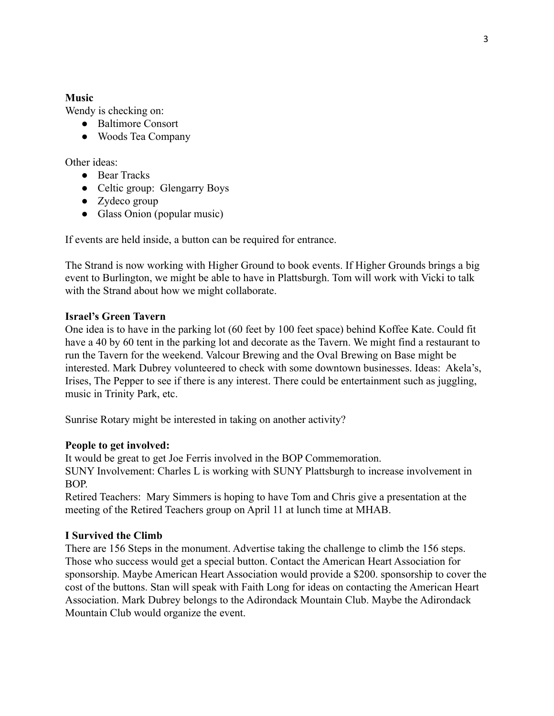## **Music**

Wendy is checking on:

- Baltimore Consort
- Woods Tea Company

Other ideas:

- Bear Tracks
- Celtic group: Glengarry Boys
- Zydeco group
- Glass Onion (popular music)

If events are held inside, a button can be required for entrance.

The Strand is now working with Higher Ground to book events. If Higher Grounds brings a big event to Burlington, we might be able to have in Plattsburgh. Tom will work with Vicki to talk with the Strand about how we might collaborate.

# **Israel's Green Tavern**

One idea is to have in the parking lot (60 feet by 100 feet space) behind Koffee Kate. Could fit have a 40 by 60 tent in the parking lot and decorate as the Tavern. We might find a restaurant to run the Tavern for the weekend. Valcour Brewing and the Oval Brewing on Base might be interested. Mark Dubrey volunteered to check with some downtown businesses. Ideas: Akela's, Irises, The Pepper to see if there is any interest. There could be entertainment such as juggling, music in Trinity Park, etc.

Sunrise Rotary might be interested in taking on another activity?

## **People to get involved:**

It would be great to get Joe Ferris involved in the BOP Commemoration. SUNY Involvement: Charles L is working with SUNY Plattsburgh to increase involvement in BOP.

Retired Teachers: Mary Simmers is hoping to have Tom and Chris give a presentation at the meeting of the Retired Teachers group on April 11 at lunch time at MHAB.

# **I Survived the Climb**

There are 156 Steps in the monument. Advertise taking the challenge to climb the 156 steps. Those who success would get a special button. Contact the American Heart Association for sponsorship. Maybe American Heart Association would provide a \$200. sponsorship to cover the cost of the buttons. Stan will speak with Faith Long for ideas on contacting the American Heart Association. Mark Dubrey belongs to the Adirondack Mountain Club. Maybe the Adirondack Mountain Club would organize the event.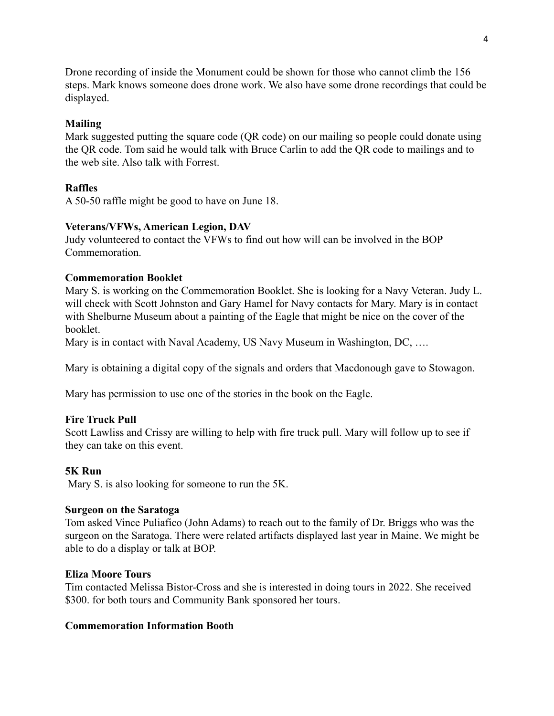Drone recording of inside the Monument could be shown for those who cannot climb the 156 steps. Mark knows someone does drone work. We also have some drone recordings that could be displayed.

# **Mailing**

Mark suggested putting the square code (QR code) on our mailing so people could donate using the QR code. Tom said he would talk with Bruce Carlin to add the QR code to mailings and to the web site. Also talk with Forrest.

# **Raffles**

A 50-50 raffle might be good to have on June 18.

## **Veterans/VFWs, American Legion, DAV**

Judy volunteered to contact the VFWs to find out how will can be involved in the BOP Commemoration.

## **Commemoration Booklet**

Mary S. is working on the Commemoration Booklet. She is looking for a Navy Veteran. Judy L. will check with Scott Johnston and Gary Hamel for Navy contacts for Mary. Mary is in contact with Shelburne Museum about a painting of the Eagle that might be nice on the cover of the booklet.

Mary is in contact with Naval Academy, US Navy Museum in Washington, DC, ....

Mary is obtaining a digital copy of the signals and orders that Macdonough gave to Stowagon.

Mary has permission to use one of the stories in the book on the Eagle.

## **Fire Truck Pull**

Scott Lawliss and Crissy are willing to help with fire truck pull. Mary will follow up to see if they can take on this event.

## **5K Run**

Mary S. is also looking for someone to run the 5K.

#### **Surgeon on the Saratoga**

Tom asked Vince Puliafico (John Adams) to reach out to the family of Dr. Briggs who was the surgeon on the Saratoga. There were related artifacts displayed last year in Maine. We might be able to do a display or talk at BOP.

## **Eliza Moore Tours**

Tim contacted Melissa Bistor-Cross and she is interested in doing tours in 2022. She received \$300. for both tours and Community Bank sponsored her tours.

#### **Commemoration Information Booth**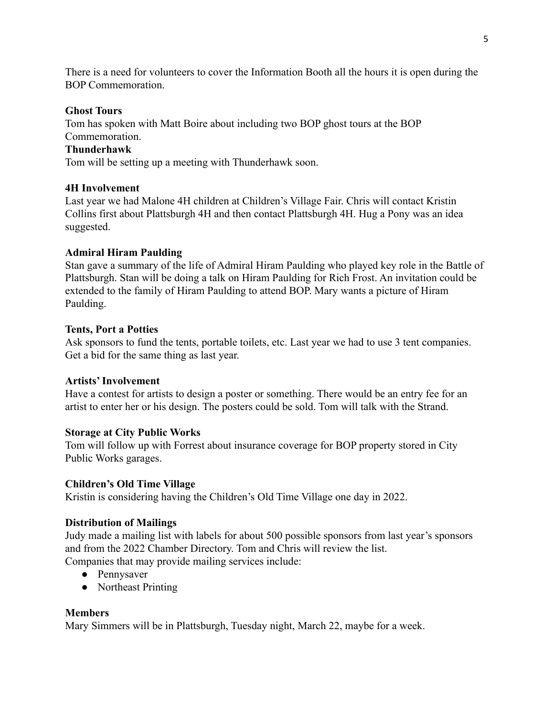There is a need for volunteers to cover the Information Booth all the hours it is open during the BOP Commemoration.

## **Ghost Tours**

Tom has spoken with Matt Boire about including two BOP ghost tours at the BOP Commemoration.

# **Thunderhawk**

Tom will be setting up a meeting with Thunderhawk soon.

# **4H Involvement**

Last year we had Malone 4H children at Children's Village Fair. Chris will contact Kristin Collins first about Plattsburgh 4H and then contact Plattsburgh 4H. Hug a Pony was an idea suggested.

# **Admiral Hiram Paulding**

Stan gave a summary of the life of Admiral Hiram Paulding who played key role in the Battle of Plattsburgh. Stan will be doing a talk on Hiram Paulding for Rich Frost. An invitation could be extended to the family of Hiram Paulding to attend BOP. Mary wants a picture of Hiram Paulding.

## **Tents, Port a Potties**

Ask sponsors to fund the tents, portable toilets, etc. Last year we had to use 3 tent companies. Get a bid for the same thing as last year.

## **Artists' Involvement**

Have a contest for artists to design a poster or something. There would be an entry fee for an artist to enter her or his design. The posters could be sold. Tom will talk with the Strand.

# **Storage at City Public Works**

Tom will follow up with Forrest about insurance coverage for BOP property stored in City Public Works garages.

## **Children's Old Time Village**

Kristin is considering having the Children's Old Time Village one day in 2022.

## **Distribution of Mailings**

Judy made a mailing list with labels for about 500 possible sponsors from last year's sponsors and from the 2022 Chamber Directory. Tom and Chris will review the list. Companies that may provide mailing services include:

- Pennysaver
- Northeast Printing

## **Members**

Mary Simmers will be in Plattsburgh, Tuesday night, March 22, maybe for a week.